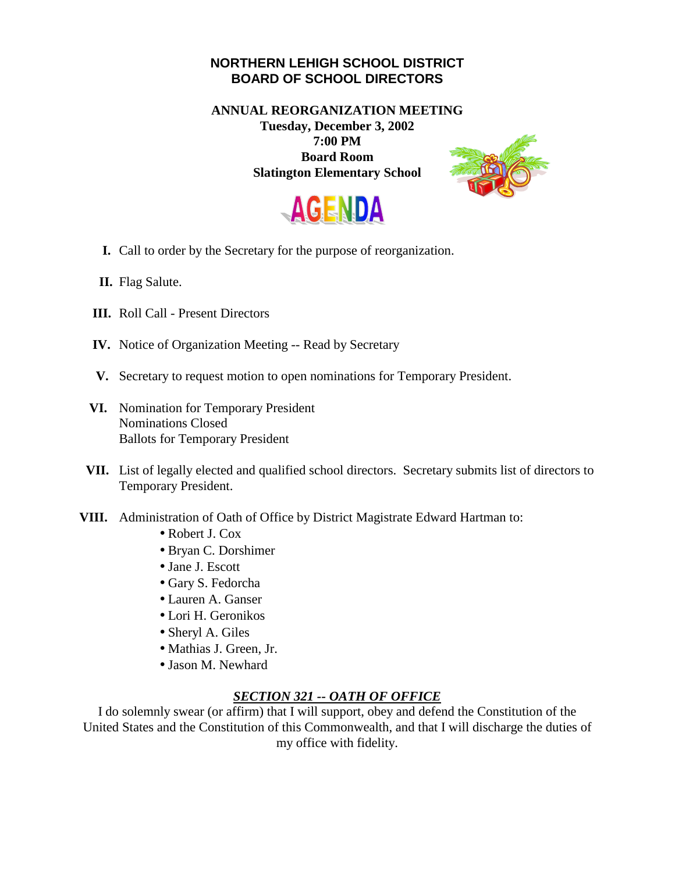## **NORTHERN LEHIGH SCHOOL DISTRICT BOARD OF SCHOOL DIRECTORS**

**ANNUAL REORGANIZATION MEETING** 

**Tuesday, December 3, 2002 7:00 PM Board Room Slatington Elementary School** 





- **I.** Call to order by the Secretary for the purpose of reorganization.
- **II.** Flag Salute.
- **III.** Roll Call Present Directors
- **IV.** Notice of Organization Meeting -- Read by Secretary
- **V.** Secretary to request motion to open nominations for Temporary President.
- **VI.** Nomination for Temporary President Nominations Closed Ballots for Temporary President
- **VII.** List of legally elected and qualified school directors. Secretary submits list of directors to Temporary President.
- **VIII.** Administration of Oath of Office by District Magistrate Edward Hartman to:
	- Robert J. Cox
	- Bryan C. Dorshimer
	- Jane J. Escott
	- Gary S. Fedorcha
	- Lauren A. Ganser
	- Lori H. Geronikos
	- Sheryl A. Giles
	- Mathias J. Green, Jr.
	- Jason M. Newhard

## *SECTION 321 -- OATH OF OFFICE*

I do solemnly swear (or affirm) that I will support, obey and defend the Constitution of the United States and the Constitution of this Commonwealth, and that I will discharge the duties of my office with fidelity.